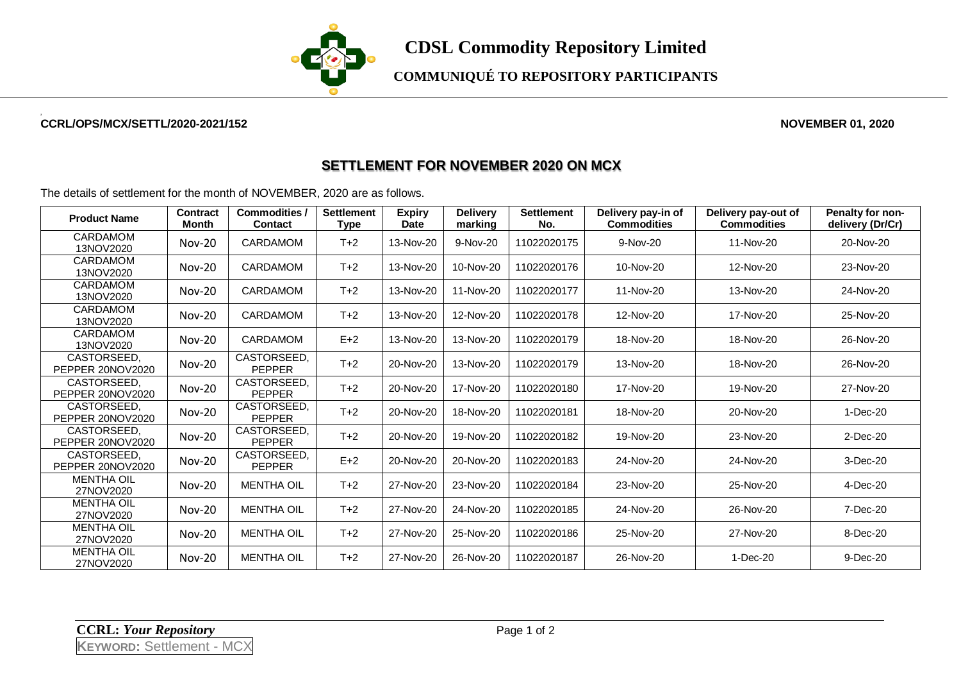

**COMMUNIQUÉ TO REPOSITORY PARTICIPANTS**

## **CCRL/OPS/MCX/SETTL/2020-2021/152 NOVEMBER 01, 2020**

## **SETTLEMENT FOR NOVEMBER 2020 ON MCX**

The details of settlement for the month of NOVEMBER, 2020 are as follows.

| <b>Product Name</b>             | <b>Contract</b><br><b>Month</b> | Commodities /<br><b>Contact</b> | <b>Settlement</b><br><b>Type</b> | <b>Expiry</b><br><b>Date</b> | <b>Delivery</b><br>marking | <b>Settlement</b><br>No. | Delivery pay-in of<br><b>Commodities</b> | Delivery pay-out of<br><b>Commodities</b> | Penalty for non-<br>delivery (Dr/Cr) |
|---------------------------------|---------------------------------|---------------------------------|----------------------------------|------------------------------|----------------------------|--------------------------|------------------------------------------|-------------------------------------------|--------------------------------------|
| CARDAMOM<br>13NOV2020           | <b>Nov-20</b>                   | CARDAMOM                        | $T+2$                            | 13-Nov-20                    | 9-Nov-20                   | 11022020175              | 9-Nov-20                                 | 11-Nov-20                                 | 20-Nov-20                            |
| CARDAMOM<br>13NOV2020           | <b>Nov-20</b>                   | <b>CARDAMOM</b>                 | $T+2$                            | 13-Nov-20                    | 10-Nov-20                  | 11022020176              | 10-Nov-20                                | 12-Nov-20                                 | 23-Nov-20                            |
| CARDAMOM<br>13NOV2020           | <b>Nov-20</b>                   | <b>CARDAMOM</b>                 | $T+2$                            | 13-Nov-20                    | 11-Nov-20                  | 11022020177              | 11-Nov-20                                | 13-Nov-20                                 | 24-Nov-20                            |
| CARDAMOM<br>13NOV2020           | <b>Nov-20</b>                   | CARDAMOM                        | $T+2$                            | 13-Nov-20                    | 12-Nov-20                  | 11022020178              | 12-Nov-20                                | 17-Nov-20                                 | 25-Nov-20                            |
| CARDAMOM<br>13NOV2020           | $Nov-20$                        | CARDAMOM                        | $E+2$                            | 13-Nov-20                    | 13-Nov-20                  | 11022020179              | 18-Nov-20                                | 18-Nov-20                                 | 26-Nov-20                            |
| CASTORSEED,<br>PEPPER 20NOV2020 | <b>Nov-20</b>                   | CASTORSEED,<br><b>PEPPER</b>    | $T+2$                            | 20-Nov-20                    | 13-Nov-20                  | 11022020179              | 13-Nov-20                                | 18-Nov-20                                 | 26-Nov-20                            |
| CASTORSEED.<br>PEPPER 20NOV2020 | <b>Nov-20</b>                   | CASTORSEED.<br><b>PEPPER</b>    | $T+2$                            | 20-Nov-20                    | 17-Nov-20                  | 11022020180              | 17-Nov-20                                | 19-Nov-20                                 | 27-Nov-20                            |
| CASTORSEED,<br>PEPPER 20NOV2020 | <b>Nov-20</b>                   | CASTORSEED,<br><b>PEPPER</b>    | $T+2$                            | 20-Nov-20                    | 18-Nov-20                  | 11022020181              | 18-Nov-20                                | 20-Nov-20                                 | 1-Dec-20                             |
| CASTORSEED.<br>PEPPER 20NOV2020 | $Nov-20$                        | CASTORSEED,<br><b>PEPPER</b>    | $T+2$                            | 20-Nov-20                    | 19-Nov-20                  | 11022020182              | 19-Nov-20                                | 23-Nov-20                                 | 2-Dec-20                             |
| CASTORSEED.<br>PEPPER 20NOV2020 | <b>Nov-20</b>                   | CASTORSEED,<br><b>PEPPER</b>    | $E+2$                            | 20-Nov-20                    | 20-Nov-20                  | 11022020183              | 24-Nov-20                                | 24-Nov-20                                 | 3-Dec-20                             |
| <b>MENTHA OIL</b><br>27NOV2020  | $Nov-20$                        | <b>MENTHA OIL</b>               | $T+2$                            | 27-Nov-20                    | 23-Nov-20                  | 11022020184              | 23-Nov-20                                | 25-Nov-20                                 | 4-Dec-20                             |
| <b>MENTHA OIL</b><br>27NOV2020  | <b>Nov-20</b>                   | <b>MENTHA OIL</b>               | $T+2$                            | 27-Nov-20                    | 24-Nov-20                  | 11022020185              | 24-Nov-20                                | 26-Nov-20                                 | 7-Dec-20                             |
| <b>MENTHA OIL</b><br>27NOV2020  | $Nov-20$                        | <b>MENTHA OIL</b>               | $T+2$                            | 27-Nov-20                    | 25-Nov-20                  | 11022020186              | 25-Nov-20                                | 27-Nov-20                                 | 8-Dec-20                             |
| <b>MENTHA OIL</b><br>27NOV2020  | <b>Nov-20</b>                   | <b>MENTHA OIL</b>               | $T+2$                            | 27-Nov-20                    | 26-Nov-20                  | 11022020187              | 26-Nov-20                                | 1-Dec-20                                  | 9-Dec-20                             |